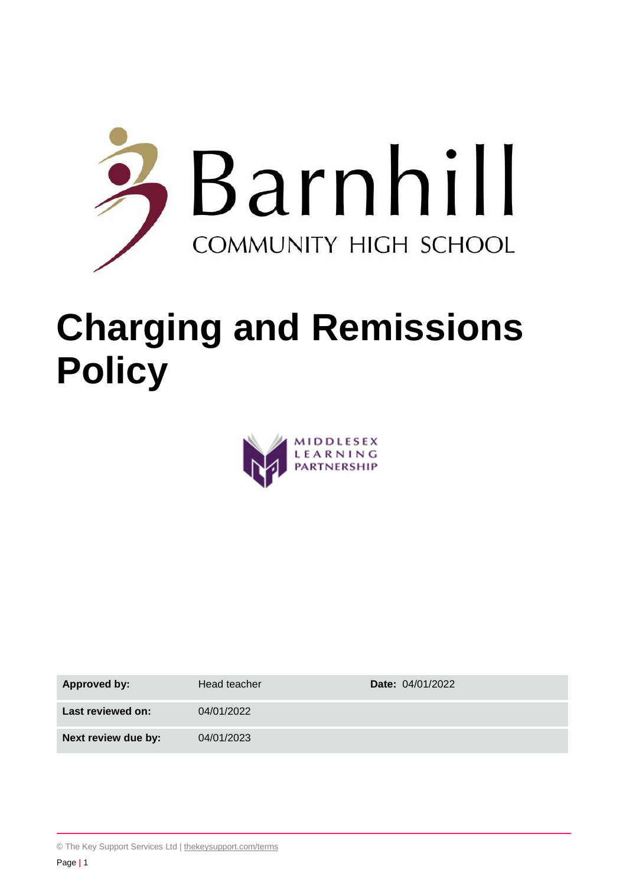

# **Charging and Remissions Policy**



| Approved by:        | Head teacher | <b>Date: 04/01/2022</b> |
|---------------------|--------------|-------------------------|
| Last reviewed on:   | 04/01/2022   |                         |
| Next review due by: | 04/01/2023   |                         |

<sup>©</sup> The Key Support Services Ltd | [thekeysupport.com/terms](https://thekeysupport.com/terms-of-use)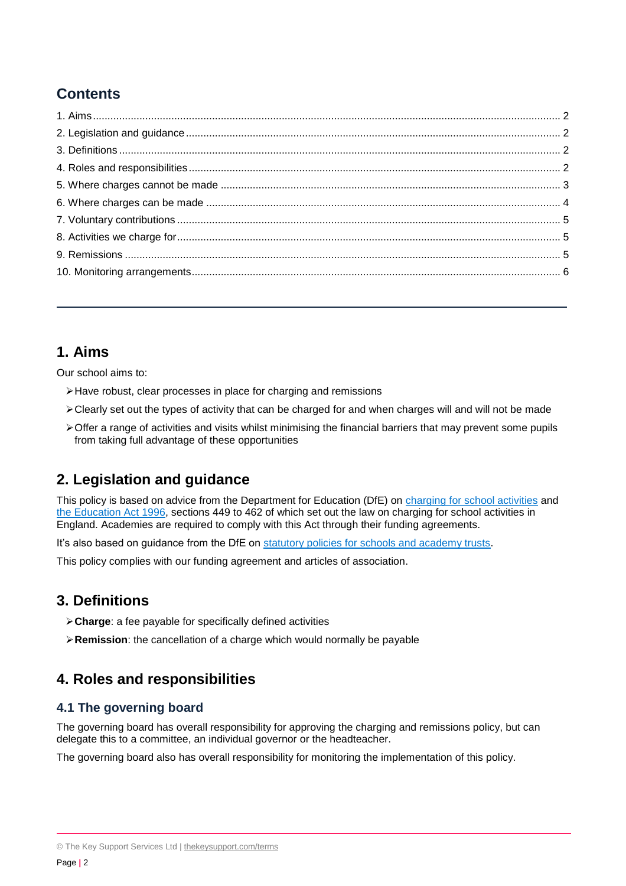# **Contents**

# <span id="page-1-0"></span>**1. Aims**

Our school aims to:

- Have robust, clear processes in place for charging and remissions
- $\triangleright$  Clearly set out the types of activity that can be charged for and when charges will and will not be made
- $\triangleright$  Offer a range of activities and visits whilst minimising the financial barriers that may prevent some pupils from taking full advantage of these opportunities

# <span id="page-1-1"></span>**2. Legislation and guidance**

This policy is based on advice from the Department for Education (DfE) on [charging for school activities](https://www.gov.uk/government/publications/charging-for-school-activities) and [the Education Act 1996,](http://www.legislation.gov.uk/ukpga/1996/56/part/VI/chapter/III) sections 449 to 462 of which set out the law on charging for school activities in England. Academies are required to comply with this Act through their funding agreements.

It's also based on guidance from the DfE on [statutory policies for schools and academy trusts.](https://www.gov.uk/government/publications/statutory-policies-for-schools-and-academy-trusts/statutory-policies-for-schools-and-academy-trusts)

This policy complies with our funding agreement and articles of association.

# <span id="page-1-2"></span>**3. Definitions**

- **Charge**: a fee payable for specifically defined activities
- **Remission**: the cancellation of a charge which would normally be payable

# <span id="page-1-3"></span>**4. Roles and responsibilities**

## **4.1 The governing board**

The governing board has overall responsibility for approving the charging and remissions policy, but can delegate this to a committee, an individual governor or the headteacher.

The governing board also has overall responsibility for monitoring the implementation of this policy.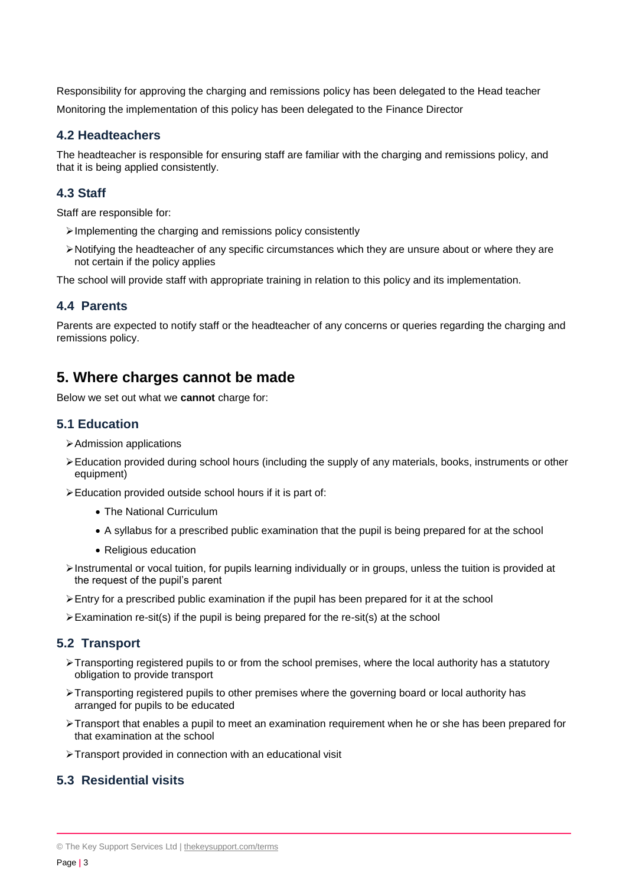Responsibility for approving the charging and remissions policy has been delegated to the Head teacher Monitoring the implementation of this policy has been delegated to the Finance Director

#### **4.2 Headteachers**

The headteacher is responsible for ensuring staff are familiar with the charging and remissions policy, and that it is being applied consistently.

## **4.3 Staff**

Staff are responsible for:

- $\triangleright$  Implementing the charging and remissions policy consistently
- Notifying the headteacher of any specific circumstances which they are unsure about or where they are not certain if the policy applies

The school will provide staff with appropriate training in relation to this policy and its implementation.

#### **4.4 Parents**

Parents are expected to notify staff or the headteacher of any concerns or queries regarding the charging and remissions policy.

## <span id="page-2-0"></span>**5. Where charges cannot be made**

Below we set out what we **cannot** charge for:

#### **5.1 Education**

- Admission applications
- Education provided during school hours (including the supply of any materials, books, instruments or other equipment)
- Education provided outside school hours if it is part of:
	- The National Curriculum
	- A syllabus for a prescribed public examination that the pupil is being prepared for at the school
	- Religious education
- $\triangleright$  Instrumental or vocal tuition, for pupils learning individually or in groups, unless the tuition is provided at the request of the pupil's parent
- $\triangleright$  Entry for a prescribed public examination if the pupil has been prepared for it at the school
- $\triangleright$  Examination re-sit(s) if the pupil is being prepared for the re-sit(s) at the school

#### **5.2 Transport**

- $\triangleright$  Transporting registered pupils to or from the school premises, where the local authority has a statutory obligation to provide transport
- Transporting registered pupils to other premises where the governing board or local authority has arranged for pupils to be educated
- Transport that enables a pupil to meet an examination requirement when he or she has been prepared for that examination at the school
- Transport provided in connection with an educational visit

## **5.3 Residential visits**

<sup>©</sup> The Key Support Services Ltd | [thekeysupport.com/terms](https://thekeysupport.com/terms-of-use)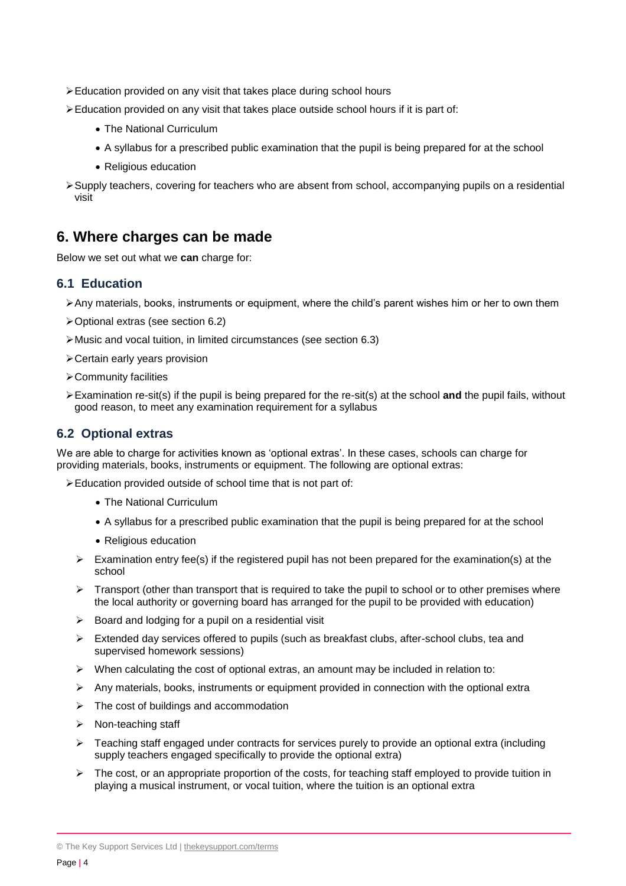- Education provided on any visit that takes place during school hours
- Education provided on any visit that takes place outside school hours if it is part of:
	- The National Curriculum
	- A syllabus for a prescribed public examination that the pupil is being prepared for at the school
	- Religious education
- Supply teachers, covering for teachers who are absent from school, accompanying pupils on a residential visit

## <span id="page-3-0"></span>**6. Where charges can be made**

Below we set out what we **can** charge for:

#### **6.1 Education**

- Any materials, books, instruments or equipment, where the child's parent wishes him or her to own them
- Optional extras (see section 6.2)
- Music and vocal tuition, in limited circumstances (see section 6.3)
- Certain early years provision
- Community facilities
- Examination re-sit(s) if the pupil is being prepared for the re-sit(s) at the school **and** the pupil fails, without good reason, to meet any examination requirement for a syllabus

#### **6.2 Optional extras**

We are able to charge for activities known as 'optional extras'. In these cases, schools can charge for providing materials, books, instruments or equipment. The following are optional extras:

Education provided outside of school time that is not part of:

- The National Curriculum
- A syllabus for a prescribed public examination that the pupil is being prepared for at the school
- Religious education
- $\triangleright$  Examination entry fee(s) if the registered pupil has not been prepared for the examination(s) at the school
- $\triangleright$  Transport (other than transport that is required to take the pupil to school or to other premises where the local authority or governing board has arranged for the pupil to be provided with education)
- $\triangleright$  Board and lodging for a pupil on a residential visit
- $\triangleright$  Extended day services offered to pupils (such as breakfast clubs, after-school clubs, tea and supervised homework sessions)
- $\triangleright$  When calculating the cost of optional extras, an amount may be included in relation to:
- $\triangleright$  Any materials, books, instruments or equipment provided in connection with the optional extra
- $\triangleright$  The cost of buildings and accommodation
- $\triangleright$  Non-teaching staff
- $\triangleright$  Teaching staff engaged under contracts for services purely to provide an optional extra (including supply teachers engaged specifically to provide the optional extra)
- $\triangleright$  The cost, or an appropriate proportion of the costs, for teaching staff employed to provide tuition in playing a musical instrument, or vocal tuition, where the tuition is an optional extra

© The Key Support Services Ltd | [thekeysupport.com/terms](https://thekeysupport.com/terms-of-use)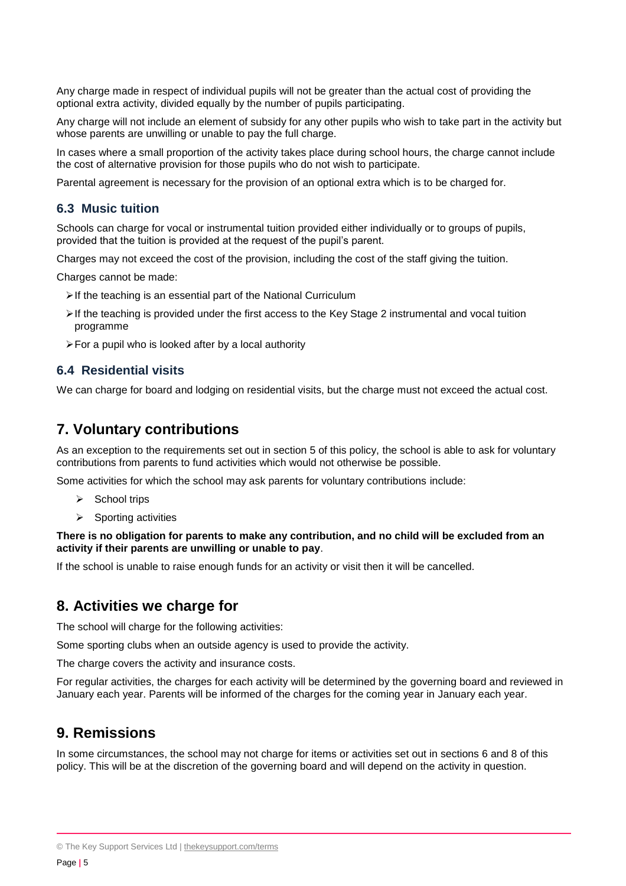Any charge made in respect of individual pupils will not be greater than the actual cost of providing the optional extra activity, divided equally by the number of pupils participating.

Any charge will not include an element of subsidy for any other pupils who wish to take part in the activity but whose parents are unwilling or unable to pay the full charge.

In cases where a small proportion of the activity takes place during school hours, the charge cannot include the cost of alternative provision for those pupils who do not wish to participate.

Parental agreement is necessary for the provision of an optional extra which is to be charged for.

#### **6.3 Music tuition**

Schools can charge for vocal or instrumental tuition provided either individually or to groups of pupils, provided that the tuition is provided at the request of the pupil's parent.

Charges may not exceed the cost of the provision, including the cost of the staff giving the tuition.

Charges cannot be made:

- $\triangleright$  If the teaching is an essential part of the National Curriculum
- $\triangleright$  If the teaching is provided under the first access to the Key Stage 2 instrumental and vocal tuition programme
- $\triangleright$  For a pupil who is looked after by a local authority

#### **6.4 Residential visits**

We can charge for board and lodging on residential visits, but the charge must not exceed the actual cost.

## <span id="page-4-0"></span>**7. Voluntary contributions**

As an exception to the requirements set out in section 5 of this policy, the school is able to ask for voluntary contributions from parents to fund activities which would not otherwise be possible.

Some activities for which the school may ask parents for voluntary contributions include:

- $\triangleright$  School trips
- $\triangleright$  Sporting activities

#### **There is no obligation for parents to make any contribution, and no child will be excluded from an activity if their parents are unwilling or unable to pay**.

If the school is unable to raise enough funds for an activity or visit then it will be cancelled.

## <span id="page-4-1"></span>**8. Activities we charge for**

The school will charge for the following activities:

Some sporting clubs when an outside agency is used to provide the activity.

The charge covers the activity and insurance costs.

For regular activities, the charges for each activity will be determined by the governing board and reviewed in January each year. Parents will be informed of the charges for the coming year in January each year.

## <span id="page-4-2"></span>**9. Remissions**

In some circumstances, the school may not charge for items or activities set out in sections 6 and 8 of this policy. This will be at the discretion of the governing board and will depend on the activity in question.